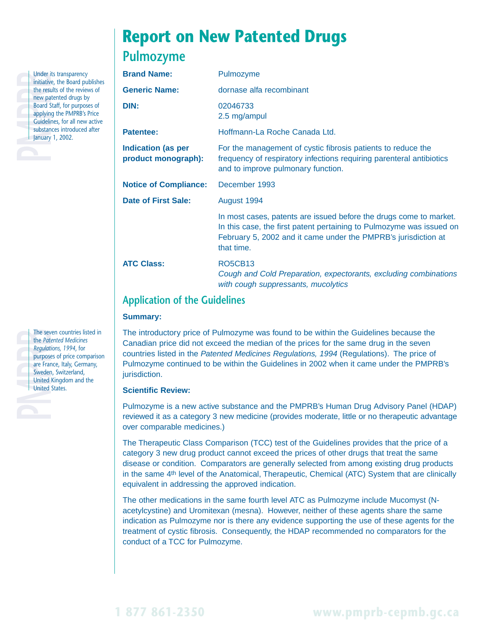

Under its transparency<br>
initiative, the Board pul<br>
the results of the review<br>
new patented drugs by<br>
Board Staff, for purpose<br>
applying the PMPRB's F<br>
Guidelines, for all new<br>
substances introduced<br>
January 1, 2002. initiative, the Board publishes the results of the reviews of new patented drugs by **Board Staff, for purposes of** applying the PMPRB's Price Guidelines, for all new active substances introduced after January 1, 2002.



# **Pulmozyme**

| <b>Brand Name:</b>                               | Pulmozyme                                                                                                                                                                                                                  |  |
|--------------------------------------------------|----------------------------------------------------------------------------------------------------------------------------------------------------------------------------------------------------------------------------|--|
| <b>Generic Name:</b>                             | dornase alfa recombinant                                                                                                                                                                                                   |  |
| DIN:                                             | 02046733<br>2.5 mg/ampul                                                                                                                                                                                                   |  |
| <b>Patentee:</b>                                 | Hoffmann-La Roche Canada Ltd.                                                                                                                                                                                              |  |
| <b>Indication (as per</b><br>product monograph): | For the management of cystic fibrosis patients to reduce the<br>frequency of respiratory infections requiring parenteral antibiotics<br>and to improve pulmonary function.                                                 |  |
| <b>Notice of Compliance:</b>                     | December 1993                                                                                                                                                                                                              |  |
| <b>Date of First Sale:</b>                       | August 1994                                                                                                                                                                                                                |  |
|                                                  | In most cases, patents are issued before the drugs come to market.<br>In this case, the first patent pertaining to Pulmozyme was issued on<br>February 5, 2002 and it came under the PMPRB's jurisdiction at<br>that time. |  |
| <b>ATC Class:</b>                                | <b>RO5CB13</b><br>Cough and Cold Preparation, expectorants, excluding combinations<br>with cough suppressants, mucolytics                                                                                                  |  |
| Annibection of the Cuidelines                    |                                                                                                                                                                                                                            |  |

# **Application of the Guidelines**

### **Summary:**

The introductory price of Pulmozyme was found to be within the Guidelines because the Canadian price did not exceed the median of the prices for the same drug in the seven countries listed in the Patented Medicines Regulations, 1994 (Regulations). The price of Pulmozyme continued to be within the Guidelines in 2002 when it came under the PMPRB's jurisdiction.

### **Scientific Review:**

Pulmozyme is a new active substance and the PMPRB's Human Drug Advisory Panel (HDAP) reviewed it as a category 3 new medicine (provides moderate, little or no therapeutic advantage over comparable medicines.)

The Therapeutic Class Comparison (TCC) test of the Guidelines provides that the price of a category 3 new drug product cannot exceed the prices of other drugs that treat the same disease or condition. Comparators are generally selected from among existing drug products in the same 4th level of the Anatomical, Therapeutic, Chemical (ATC) System that are clinically equivalent in addressing the approved indication.

The other medications in the same fourth level ATC as Pulmozyme include Mucomyst (Nacetylcystine) and Uromitexan (mesna). However, neither of these agents share the same indication as Pulmozyme nor is there any evidence supporting the use of these agents for the treatment of cystic fibrosis. Consequently, the HDAP recommended no comparators for the conduct of a TCC for Pulmozyme.

The seven countries listed in<br>the *Patented Medicines*<br>Regulations, 1994, for<br>purposes of price compariso<br>are France, Italy, Germany,<br>Sweden, Switzerland,<br>United Kingdom and the<br>United States. the *Patented Medicines Regulations, 1994*, for purposes of price comparison are France, Italy, Germany, Sweden, Switzerland, United Kingdom and the United States.